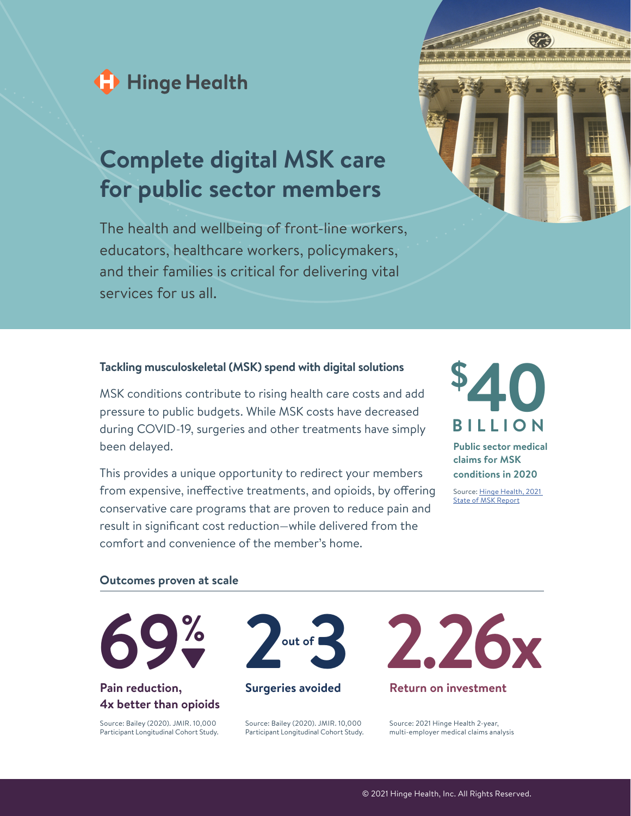

# **Complete digital MSK care for public sector members**

The health and wellbeing of front-line workers, educators, healthcare workers, policymakers, and their families is critical for delivering vital services for us all.



### **Tackling musculoskeletal (MSK) spend with digital solutions**

MSK conditions contribute to rising health care costs and add pressure to public budgets. While MSK costs have decreased during COVID-19, surgeries and other treatments have simply been delayed.

This provides a unique opportunity to redirect your members from expensive, ineffective treatments, and opioids, by offering conservative care programs that are proven to reduce pain and result in significant cost reduction—while delivered from the comfort and convenience of the member's home.



#### **Outcomes proven at scale**



## **Pain reduction, 4x better than opioids**

Source: Bailey (2020). JMIR. 10,000 Participant Longitudinal Cohort Study.



#### **Surgeries avoided**

Source: Bailey (2020). JMIR. 10,000 Participant Longitudinal Cohort Study.



Source: 2021 Hinge Health 2-year, multi-employer medical claims analysis